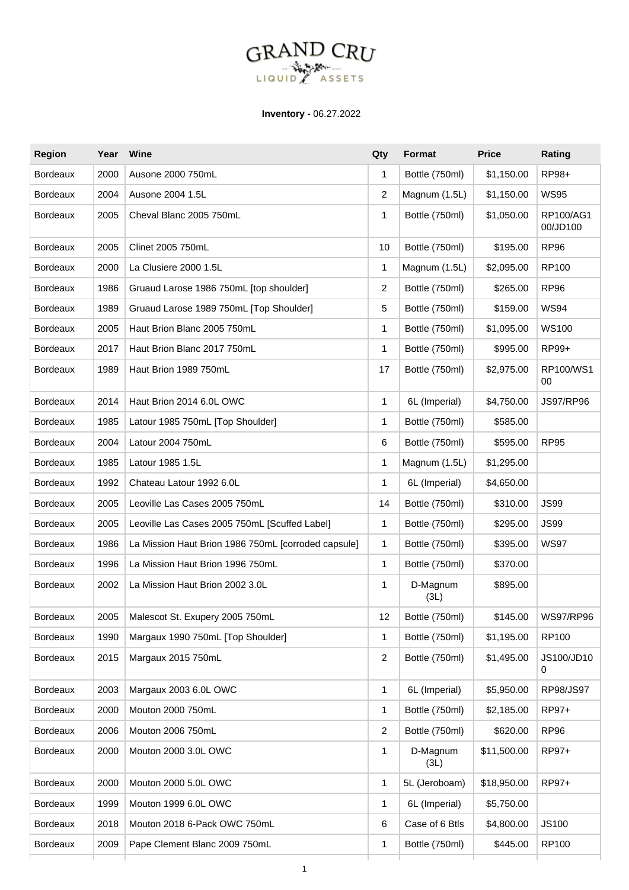## **GRAND CRU** ASSETS LIQUID

**Inventory -** 06.27.2022

| <b>Region</b>   | Year | Wine                                                | Qty            | <b>Format</b>    | <b>Price</b> | Rating                |
|-----------------|------|-----------------------------------------------------|----------------|------------------|--------------|-----------------------|
| <b>Bordeaux</b> | 2000 | Ausone 2000 750mL                                   | 1              | Bottle (750ml)   | \$1,150.00   | RP98+                 |
| <b>Bordeaux</b> | 2004 | Ausone 2004 1.5L                                    | 2              | Magnum (1.5L)    | \$1,150.00   | <b>WS95</b>           |
| <b>Bordeaux</b> | 2005 | Cheval Blanc 2005 750mL                             | 1              | Bottle (750ml)   | \$1,050.00   | RP100/AG1<br>00/JD100 |
| <b>Bordeaux</b> | 2005 | Clinet 2005 750mL                                   | 10             | Bottle (750ml)   | \$195.00     | <b>RP96</b>           |
| <b>Bordeaux</b> | 2000 | La Clusiere 2000 1.5L                               | 1              | Magnum (1.5L)    | \$2,095.00   | RP100                 |
| <b>Bordeaux</b> | 1986 | Gruaud Larose 1986 750mL [top shoulder]             | 2              | Bottle (750ml)   | \$265.00     | <b>RP96</b>           |
| <b>Bordeaux</b> | 1989 | Gruaud Larose 1989 750mL [Top Shoulder]             | 5              | Bottle (750ml)   | \$159.00     | <b>WS94</b>           |
| <b>Bordeaux</b> | 2005 | Haut Brion Blanc 2005 750mL                         | 1              | Bottle (750ml)   | \$1,095.00   | <b>WS100</b>          |
| <b>Bordeaux</b> | 2017 | Haut Brion Blanc 2017 750mL                         | 1              | Bottle (750ml)   | \$995.00     | RP99+                 |
| <b>Bordeaux</b> | 1989 | Haut Brion 1989 750mL                               | 17             | Bottle (750ml)   | \$2,975.00   | RP100/WS1<br>00       |
| <b>Bordeaux</b> | 2014 | Haut Brion 2014 6.0L OWC                            | $\mathbf{1}$   | 6L (Imperial)    | \$4,750.00   | <b>JS97/RP96</b>      |
| <b>Bordeaux</b> | 1985 | Latour 1985 750mL [Top Shoulder]                    | 1              | Bottle (750ml)   | \$585.00     |                       |
| <b>Bordeaux</b> | 2004 | Latour 2004 750mL                                   | 6              | Bottle (750ml)   | \$595.00     | <b>RP95</b>           |
| <b>Bordeaux</b> | 1985 | Latour 1985 1.5L                                    | 1              | Magnum (1.5L)    | \$1,295.00   |                       |
| <b>Bordeaux</b> | 1992 | Chateau Latour 1992 6.0L                            | $\mathbf{1}$   | 6L (Imperial)    | \$4,650.00   |                       |
| <b>Bordeaux</b> | 2005 | Leoville Las Cases 2005 750mL                       | 14             | Bottle (750ml)   | \$310.00     | <b>JS99</b>           |
| <b>Bordeaux</b> | 2005 | Leoville Las Cases 2005 750mL [Scuffed Label]       | 1              | Bottle (750ml)   | \$295.00     | <b>JS99</b>           |
| <b>Bordeaux</b> | 1986 | La Mission Haut Brion 1986 750mL [corroded capsule] | 1              | Bottle (750ml)   | \$395.00     | <b>WS97</b>           |
| <b>Bordeaux</b> | 1996 | La Mission Haut Brion 1996 750mL                    | 1              | Bottle (750ml)   | \$370.00     |                       |
| <b>Bordeaux</b> | 2002 | La Mission Haut Brion 2002 3.0L                     | 1              | D-Magnum<br>(3L) | \$895.00     |                       |
| Bordeaux        | 2005 | Malescot St. Exupery 2005 750mL                     | 12             | Bottle (750ml)   | \$145.00     | WS97/RP96             |
| Bordeaux        | 1990 | Margaux 1990 750mL [Top Shoulder]                   | 1              | Bottle (750ml)   | \$1,195.00   | RP100                 |
| Bordeaux        | 2015 | Margaux 2015 750mL                                  | $\overline{c}$ | Bottle (750ml)   | \$1,495.00   | JS100/JD10<br>0       |
| Bordeaux        | 2003 | Margaux 2003 6.0L OWC                               | 1              | 6L (Imperial)    | \$5,950.00   | RP98/JS97             |
| Bordeaux        | 2000 | Mouton 2000 750mL                                   | 1              | Bottle (750ml)   | \$2,185.00   | RP97+                 |
| <b>Bordeaux</b> | 2006 | Mouton 2006 750mL                                   | $\overline{c}$ | Bottle (750ml)   | \$620.00     | <b>RP96</b>           |
| Bordeaux        | 2000 | Mouton 2000 3.0L OWC                                | 1              | D-Magnum<br>(3L) | \$11,500.00  | RP97+                 |
| Bordeaux        | 2000 | Mouton 2000 5.0L OWC                                | 1              | 5L (Jeroboam)    | \$18,950.00  | RP97+                 |
| <b>Bordeaux</b> | 1999 | Mouton 1999 6.0L OWC                                | 1              | 6L (Imperial)    | \$5,750.00   |                       |
| Bordeaux        | 2018 | Mouton 2018 6-Pack OWC 750mL                        | 6              | Case of 6 Btls   | \$4,800.00   | <b>JS100</b>          |
| Bordeaux        | 2009 | Pape Clement Blanc 2009 750mL                       | 1              | Bottle (750ml)   | \$445.00     | RP100                 |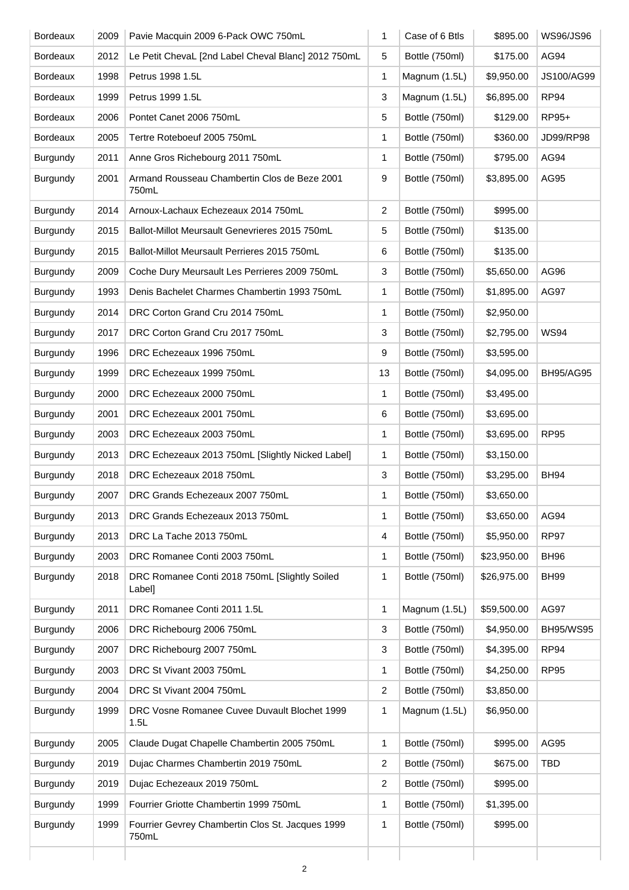| <b>Bordeaux</b> | 2009 | Pavie Macquin 2009 6-Pack OWC 750mL                       | 1              | Case of 6 Btls | \$895.00    | WS96/JS96        |
|-----------------|------|-----------------------------------------------------------|----------------|----------------|-------------|------------------|
| <b>Bordeaux</b> | 2012 | Le Petit ChevaL [2nd Label Cheval Blanc] 2012 750mL       | 5              | Bottle (750ml) | \$175.00    | AG94             |
| <b>Bordeaux</b> | 1998 | Petrus 1998 1.5L                                          | 1              | Magnum (1.5L)  | \$9,950.00  | JS100/AG99       |
| <b>Bordeaux</b> | 1999 | Petrus 1999 1.5L                                          | 3              | Magnum (1.5L)  | \$6,895.00  | RP94             |
| <b>Bordeaux</b> | 2006 | Pontet Canet 2006 750mL                                   | 5              | Bottle (750ml) | \$129.00    | RP95+            |
| <b>Bordeaux</b> | 2005 | Tertre Roteboeuf 2005 750mL                               | 1              | Bottle (750ml) | \$360.00    | JD99/RP98        |
| Burgundy        | 2011 | Anne Gros Richebourg 2011 750mL                           | 1              | Bottle (750ml) | \$795.00    | AG94             |
| Burgundy        | 2001 | Armand Rousseau Chambertin Clos de Beze 2001<br>750mL     | 9              | Bottle (750ml) | \$3,895.00  | AG95             |
| Burgundy        | 2014 | Arnoux-Lachaux Echezeaux 2014 750mL                       | $\overline{2}$ | Bottle (750ml) | \$995.00    |                  |
| Burgundy        | 2015 | Ballot-Millot Meursault Genevrieres 2015 750mL            | 5              | Bottle (750ml) | \$135.00    |                  |
| Burgundy        | 2015 | Ballot-Millot Meursault Perrieres 2015 750mL              | 6              | Bottle (750ml) | \$135.00    |                  |
| Burgundy        | 2009 | Coche Dury Meursault Les Perrieres 2009 750mL             | 3              | Bottle (750ml) | \$5,650.00  | AG96             |
| Burgundy        | 1993 | Denis Bachelet Charmes Chambertin 1993 750mL              | 1              | Bottle (750ml) | \$1,895.00  | AG97             |
| Burgundy        | 2014 | DRC Corton Grand Cru 2014 750mL                           | 1              | Bottle (750ml) | \$2,950.00  |                  |
| Burgundy        | 2017 | DRC Corton Grand Cru 2017 750mL                           | 3              | Bottle (750ml) | \$2,795.00  | <b>WS94</b>      |
| Burgundy        | 1996 | DRC Echezeaux 1996 750mL                                  | 9              | Bottle (750ml) | \$3,595.00  |                  |
| Burgundy        | 1999 | DRC Echezeaux 1999 750mL                                  | 13             | Bottle (750ml) | \$4,095.00  | <b>BH95/AG95</b> |
| Burgundy        | 2000 | DRC Echezeaux 2000 750mL                                  | 1              | Bottle (750ml) | \$3,495.00  |                  |
| Burgundy        | 2001 | DRC Echezeaux 2001 750mL                                  | 6              | Bottle (750ml) | \$3,695.00  |                  |
| Burgundy        | 2003 | DRC Echezeaux 2003 750mL                                  | 1              | Bottle (750ml) | \$3,695.00  | <b>RP95</b>      |
| Burgundy        | 2013 | DRC Echezeaux 2013 750mL [Slightly Nicked Label]          | 1              | Bottle (750ml) | \$3,150.00  |                  |
| Burgundy        | 2018 | DRC Echezeaux 2018 750mL                                  | 3              | Bottle (750ml) | \$3,295.00  | <b>BH94</b>      |
| Burgundy        | 2007 | DRC Grands Echezeaux 2007 750mL                           | 1              | Bottle (750ml) | \$3,650.00  |                  |
| Burgundy        | 2013 | DRC Grands Echezeaux 2013 750mL                           | 1              | Bottle (750ml) | \$3,650.00  | AG94             |
| Burgundy        | 2013 | DRC La Tache 2013 750mL                                   | 4              | Bottle (750ml) | \$5,950.00  | <b>RP97</b>      |
| Burgundy        | 2003 | DRC Romanee Conti 2003 750mL                              | 1              | Bottle (750ml) | \$23,950.00 | <b>BH96</b>      |
| Burgundy        | 2018 | DRC Romanee Conti 2018 750mL [Slightly Soiled<br>Label]   | 1              | Bottle (750ml) | \$26,975.00 | <b>BH99</b>      |
| Burgundy        | 2011 | DRC Romanee Conti 2011 1.5L                               | 1              | Magnum (1.5L)  | \$59,500.00 | AG97             |
| Burgundy        | 2006 | DRC Richebourg 2006 750mL                                 | 3              | Bottle (750ml) | \$4,950.00  | <b>BH95/WS95</b> |
| Burgundy        | 2007 | DRC Richebourg 2007 750mL                                 | 3              | Bottle (750ml) | \$4,395.00  | RP <sub>94</sub> |
| Burgundy        | 2003 | DRC St Vivant 2003 750mL                                  | 1              | Bottle (750ml) | \$4,250.00  | <b>RP95</b>      |
| Burgundy        | 2004 | DRC St Vivant 2004 750mL                                  | $\overline{2}$ | Bottle (750ml) | \$3,850.00  |                  |
| Burgundy        | 1999 | DRC Vosne Romanee Cuvee Duvault Blochet 1999<br>1.5L      | 1              | Magnum (1.5L)  | \$6,950.00  |                  |
| Burgundy        | 2005 | Claude Dugat Chapelle Chambertin 2005 750mL               | $\mathbf{1}$   | Bottle (750ml) | \$995.00    | AG95             |
| Burgundy        | 2019 | Dujac Charmes Chambertin 2019 750mL                       | $\overline{2}$ | Bottle (750ml) | \$675.00    | <b>TBD</b>       |
| Burgundy        | 2019 | Dujac Echezeaux 2019 750mL                                | $\overline{2}$ | Bottle (750ml) | \$995.00    |                  |
| Burgundy        | 1999 | Fourrier Griotte Chambertin 1999 750mL                    | 1              | Bottle (750ml) | \$1,395.00  |                  |
| Burgundy        | 1999 | Fourrier Gevrey Chambertin Clos St. Jacques 1999<br>750mL | 1              | Bottle (750ml) | \$995.00    |                  |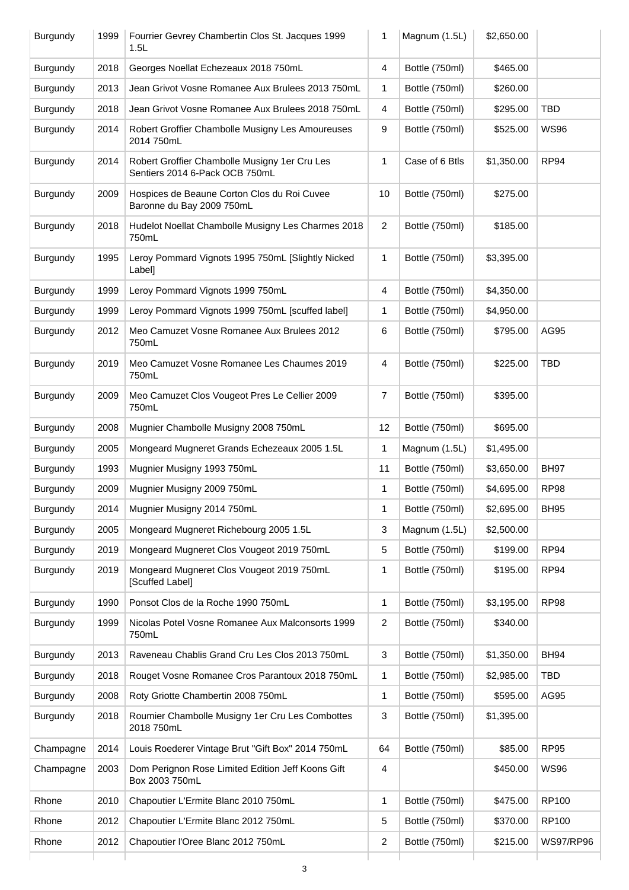| Burgundy  | 1999 | Fourrier Gevrey Chambertin Clos St. Jacques 1999<br>1.5L                        | 1                       | Magnum (1.5L)  | \$2,650.00 |                  |
|-----------|------|---------------------------------------------------------------------------------|-------------------------|----------------|------------|------------------|
| Burgundy  | 2018 | Georges Noellat Echezeaux 2018 750mL                                            | 4                       | Bottle (750ml) | \$465.00   |                  |
| Burgundy  | 2013 | Jean Grivot Vosne Romanee Aux Brulees 2013 750mL                                | 1                       | Bottle (750ml) | \$260.00   |                  |
| Burgundy  | 2018 | Jean Grivot Vosne Romanee Aux Brulees 2018 750mL                                | 4                       | Bottle (750ml) | \$295.00   | <b>TBD</b>       |
| Burgundy  | 2014 | Robert Groffier Chambolle Musigny Les Amoureuses<br>2014 750mL                  | 9                       | Bottle (750ml) | \$525.00   | <b>WS96</b>      |
| Burgundy  | 2014 | Robert Groffier Chambolle Musigny 1er Cru Les<br>Sentiers 2014 6-Pack OCB 750mL | 1                       | Case of 6 Btls | \$1,350.00 | <b>RP94</b>      |
| Burgundy  | 2009 | Hospices de Beaune Corton Clos du Roi Cuvee<br>Baronne du Bay 2009 750mL        | 10                      | Bottle (750ml) | \$275.00   |                  |
| Burgundy  | 2018 | Hudelot Noellat Chambolle Musigny Les Charmes 2018<br>750mL                     | $\overline{\mathbf{c}}$ | Bottle (750ml) | \$185.00   |                  |
| Burgundy  | 1995 | Leroy Pommard Vignots 1995 750mL [Slightly Nicked<br>Label]                     | 1                       | Bottle (750ml) | \$3,395.00 |                  |
| Burgundy  | 1999 | Leroy Pommard Vignots 1999 750mL                                                | 4                       | Bottle (750ml) | \$4,350.00 |                  |
| Burgundy  | 1999 | Leroy Pommard Vignots 1999 750mL [scuffed label]                                | 1                       | Bottle (750ml) | \$4,950.00 |                  |
| Burgundy  | 2012 | Meo Camuzet Vosne Romanee Aux Brulees 2012<br>750mL                             | 6                       | Bottle (750ml) | \$795.00   | AG95             |
| Burgundy  | 2019 | Meo Camuzet Vosne Romanee Les Chaumes 2019<br>750mL                             | 4                       | Bottle (750ml) | \$225.00   | <b>TBD</b>       |
| Burgundy  | 2009 | Meo Camuzet Clos Vougeot Pres Le Cellier 2009<br>750mL                          | 7                       | Bottle (750ml) | \$395.00   |                  |
| Burgundy  | 2008 | Mugnier Chambolle Musigny 2008 750mL                                            | 12                      | Bottle (750ml) | \$695.00   |                  |
| Burgundy  | 2005 | Mongeard Mugneret Grands Echezeaux 2005 1.5L                                    | 1                       | Magnum (1.5L)  | \$1,495.00 |                  |
| Burgundy  | 1993 | Mugnier Musigny 1993 750mL                                                      | 11                      | Bottle (750ml) | \$3,650.00 | <b>BH97</b>      |
| Burgundy  | 2009 | Mugnier Musigny 2009 750mL                                                      | 1                       | Bottle (750ml) | \$4,695.00 | <b>RP98</b>      |
| Burgundy  | 2014 | Mugnier Musigny 2014 750mL                                                      | 1                       | Bottle (750ml) | \$2,695.00 | <b>BH95</b>      |
| Burgundy  | 2005 | Mongeard Mugneret Richebourg 2005 1.5L                                          | 3                       | Magnum (1.5L)  | \$2,500.00 |                  |
| Burgundy  | 2019 | Mongeard Mugneret Clos Vougeot 2019 750mL                                       | 5                       | Bottle (750ml) | \$199.00   | RP <sub>94</sub> |
| Burgundy  | 2019 | Mongeard Mugneret Clos Vougeot 2019 750mL<br>[Scuffed Label]                    | 1                       | Bottle (750ml) | \$195.00   | RP <sub>94</sub> |
| Burgundy  | 1990 | Ponsot Clos de la Roche 1990 750mL                                              | 1                       | Bottle (750ml) | \$3,195.00 | <b>RP98</b>      |
| Burgundy  | 1999 | Nicolas Potel Vosne Romanee Aux Malconsorts 1999<br>750mL                       | 2                       | Bottle (750ml) | \$340.00   |                  |
| Burgundy  | 2013 | Raveneau Chablis Grand Cru Les Clos 2013 750mL                                  | 3                       | Bottle (750ml) | \$1,350.00 | <b>BH94</b>      |
| Burgundy  | 2018 | Rouget Vosne Romanee Cros Parantoux 2018 750mL                                  | 1                       | Bottle (750ml) | \$2,985.00 | TBD              |
| Burgundy  | 2008 | Roty Griotte Chambertin 2008 750mL                                              | 1                       | Bottle (750ml) | \$595.00   | AG95             |
| Burgundy  | 2018 | Roumier Chambolle Musigny 1er Cru Les Combottes<br>2018 750mL                   | 3                       | Bottle (750ml) | \$1,395.00 |                  |
| Champagne | 2014 | Louis Roederer Vintage Brut "Gift Box" 2014 750mL                               | 64                      | Bottle (750ml) | \$85.00    | <b>RP95</b>      |
| Champagne | 2003 | Dom Perignon Rose Limited Edition Jeff Koons Gift<br>Box 2003 750mL             | 4                       |                | \$450.00   | <b>WS96</b>      |
| Rhone     | 2010 | Chapoutier L'Ermite Blanc 2010 750mL                                            | 1                       | Bottle (750ml) | \$475.00   | RP100            |
| Rhone     | 2012 | Chapoutier L'Ermite Blanc 2012 750mL                                            | 5                       | Bottle (750ml) | \$370.00   | RP100            |
| Rhone     | 2012 | Chapoutier l'Oree Blanc 2012 750mL                                              | 2                       | Bottle (750ml) | \$215.00   | <b>WS97/RP96</b> |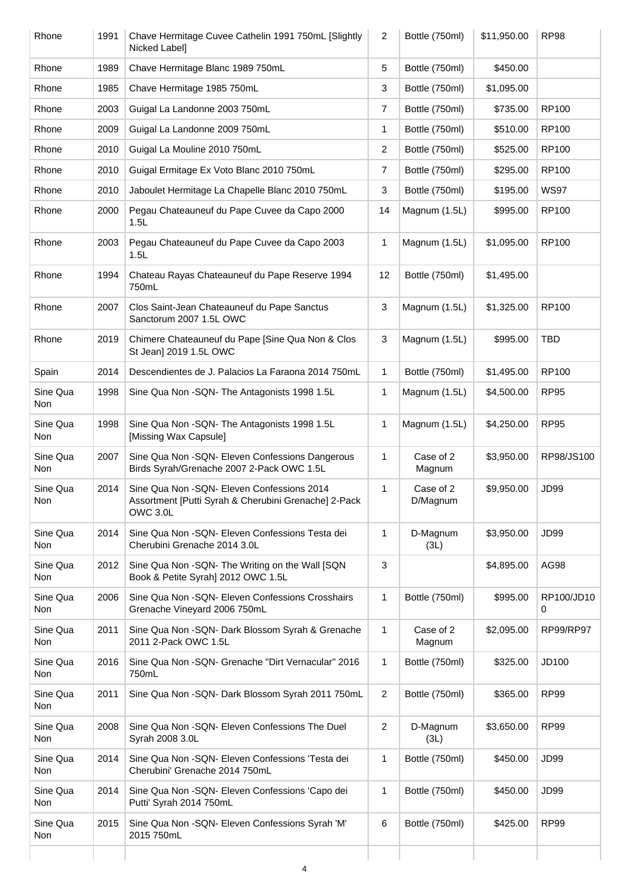| Rhone           | 1991 | Chave Hermitage Cuvee Cathelin 1991 750mL [Slightly<br>Nicked Label]                                            | 2              | Bottle (750ml)        | \$11,950.00 | <b>RP98</b>     |
|-----------------|------|-----------------------------------------------------------------------------------------------------------------|----------------|-----------------------|-------------|-----------------|
| Rhone           | 1989 | Chave Hermitage Blanc 1989 750mL                                                                                | 5              | Bottle (750ml)        | \$450.00    |                 |
| Rhone           | 1985 | Chave Hermitage 1985 750mL                                                                                      | 3              | Bottle (750ml)        | \$1,095.00  |                 |
| Rhone           | 2003 | Guigal La Landonne 2003 750mL                                                                                   | 7              | Bottle (750ml)        | \$735.00    | RP100           |
| Rhone           | 2009 | Guigal La Landonne 2009 750mL                                                                                   | 1              | Bottle (750ml)        | \$510.00    | RP100           |
| Rhone           | 2010 | Guigal La Mouline 2010 750mL                                                                                    | 2              | Bottle (750ml)        | \$525.00    | RP100           |
| Rhone           | 2010 | Guigal Ermitage Ex Voto Blanc 2010 750mL                                                                        | 7              | Bottle (750ml)        | \$295.00    | RP100           |
| Rhone           | 2010 | Jaboulet Hermitage La Chapelle Blanc 2010 750mL                                                                 | 3              | Bottle (750ml)        | \$195.00    | <b>WS97</b>     |
| Rhone           | 2000 | Pegau Chateauneuf du Pape Cuvee da Capo 2000<br>1.5L                                                            | 14             | Magnum (1.5L)         | \$995.00    | RP100           |
| Rhone           | 2003 | Pegau Chateauneuf du Pape Cuvee da Capo 2003<br>1.5L                                                            | 1              | Magnum (1.5L)         | \$1,095.00  | RP100           |
| Rhone           | 1994 | Chateau Rayas Chateauneuf du Pape Reserve 1994<br>750mL                                                         | 12             | Bottle (750ml)        | \$1,495.00  |                 |
| Rhone           | 2007 | Clos Saint-Jean Chateauneuf du Pape Sanctus<br>Sanctorum 2007 1.5L OWC                                          | 3              | Magnum (1.5L)         | \$1,325.00  | RP100           |
| Rhone           | 2019 | Chimere Chateauneuf du Pape [Sine Qua Non & Clos<br>St Jean] 2019 1.5L OWC                                      | 3              | Magnum (1.5L)         | \$995.00    | <b>TBD</b>      |
| Spain           | 2014 | Descendientes de J. Palacios La Faraona 2014 750mL                                                              | 1              | Bottle (750ml)        | \$1,495.00  | RP100           |
| Sine Qua<br>Non | 1998 | Sine Qua Non - SQN- The Antagonists 1998 1.5L                                                                   | 1              | Magnum (1.5L)         | \$4,500.00  | <b>RP95</b>     |
| Sine Qua<br>Non | 1998 | Sine Qua Non - SQN- The Antagonists 1998 1.5L<br>[Missing Wax Capsule]                                          | 1              | Magnum (1.5L)         | \$4,250.00  | <b>RP95</b>     |
| Sine Qua<br>Non | 2007 | Sine Qua Non -SQN- Eleven Confessions Dangerous<br>Birds Syrah/Grenache 2007 2-Pack OWC 1.5L                    | 1              | Case of 2<br>Magnum   | \$3,950.00  | RP98/JS100      |
| Sine Qua<br>Non | 2014 | Sine Qua Non - SQN- Eleven Confessions 2014<br>Assortment [Putti Syrah & Cherubini Grenache] 2-Pack<br>OWC 3.0L | 1              | Case of 2<br>D/Magnum | \$9,950.00  | JD99            |
| Sine Qua<br>Non | 2014 | Sine Qua Non -SQN- Eleven Confessions Testa dei<br>Cherubini Grenache 2014 3.0L                                 | 1              | D-Magnum<br>(3L)      | \$3,950.00  | <b>JD99</b>     |
| Sine Qua<br>Non | 2012 | Sine Qua Non -SQN- The Writing on the Wall [SQN<br>Book & Petite Syrah] 2012 OWC 1.5L                           | 3              |                       | \$4,895.00  | AG98            |
| Sine Qua<br>Non | 2006 | Sine Qua Non - SQN- Eleven Confessions Crosshairs<br>Grenache Vineyard 2006 750mL                               | $\mathbf{1}$   | Bottle (750ml)        | \$995.00    | RP100/JD10<br>0 |
| Sine Qua<br>Non | 2011 | Sine Qua Non - SQN- Dark Blossom Syrah & Grenache<br>2011 2-Pack OWC 1.5L                                       | 1              | Case of 2<br>Magnum   | \$2,095.00  | RP99/RP97       |
| Sine Qua<br>Non | 2016 | Sine Qua Non - SQN- Grenache "Dirt Vernacular" 2016<br>750mL                                                    | $\mathbf{1}$   | Bottle (750ml)        | \$325.00    | JD100           |
| Sine Qua<br>Non | 2011 | Sine Qua Non -SQN- Dark Blossom Syrah 2011 750mL                                                                | 2              | Bottle (750ml)        | \$365.00    | <b>RP99</b>     |
| Sine Qua<br>Non | 2008 | Sine Qua Non -SQN- Eleven Confessions The Duel<br>Syrah 2008 3.0L                                               | $\overline{2}$ | D-Magnum<br>(3L)      | \$3,650.00  | <b>RP99</b>     |
| Sine Qua<br>Non | 2014 | Sine Qua Non - SQN- Eleven Confessions 'Testa dei<br>Cherubini' Grenache 2014 750mL                             | 1              | Bottle (750ml)        | \$450.00    | <b>JD99</b>     |
| Sine Qua<br>Non | 2014 | Sine Qua Non -SQN- Eleven Confessions 'Capo dei<br>Putti' Syrah 2014 750mL                                      | 1              | Bottle (750ml)        | \$450.00    | <b>JD99</b>     |
| Sine Qua<br>Non | 2015 | Sine Qua Non -SQN- Eleven Confessions Syrah 'M'<br>2015 750mL                                                   | 6              | Bottle (750ml)        | \$425.00    | <b>RP99</b>     |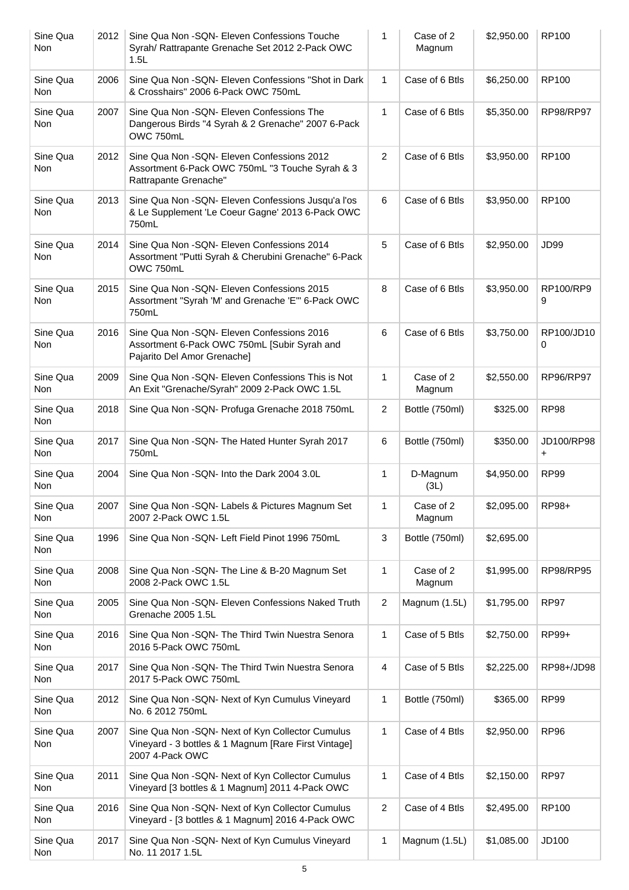| Sine Qua<br>Non | 2012 | Sine Qua Non - SQN- Eleven Confessions Touche<br>Syrah/ Rattrapante Grenache Set 2012 2-Pack OWC<br>1.5L                    | 1              | Case of 2<br>Magnum | \$2,950.00 | <b>RP100</b>     |
|-----------------|------|-----------------------------------------------------------------------------------------------------------------------------|----------------|---------------------|------------|------------------|
| Sine Qua<br>Non | 2006 | Sine Qua Non -SQN- Eleven Confessions "Shot in Dark<br>& Crosshairs" 2006 6-Pack OWC 750mL                                  | $\mathbf{1}$   | Case of 6 Btls      | \$6,250.00 | RP100            |
| Sine Qua<br>Non | 2007 | Sine Qua Non -SQN- Eleven Confessions The<br>Dangerous Birds "4 Syrah & 2 Grenache" 2007 6-Pack<br>OWC 750mL                | $\mathbf{1}$   | Case of 6 Btls      | \$5,350.00 | <b>RP98/RP97</b> |
| Sine Qua<br>Non | 2012 | Sine Qua Non - SQN- Eleven Confessions 2012<br>Assortment 6-Pack OWC 750mL "3 Touche Syrah & 3<br>Rattrapante Grenache"     | $\overline{2}$ | Case of 6 Btls      | \$3,950.00 | RP100            |
| Sine Qua<br>Non | 2013 | Sine Qua Non -SQN- Eleven Confessions Jusqu'a l'os<br>& Le Supplement 'Le Coeur Gagne' 2013 6-Pack OWC<br>750mL             | 6              | Case of 6 Btls      | \$3,950.00 | RP100            |
| Sine Qua<br>Non | 2014 | Sine Qua Non - SQN - Eleven Confessions 2014<br>Assortment "Putti Syrah & Cherubini Grenache" 6-Pack<br>OWC 750mL           | 5              | Case of 6 Btls      | \$2,950.00 | <b>JD99</b>      |
| Sine Qua<br>Non | 2015 | Sine Qua Non - SQN - Eleven Confessions 2015<br>Assortment "Syrah 'M' and Grenache 'E'" 6-Pack OWC<br>750mL                 | 8              | Case of 6 Btls      | \$3,950.00 | RP100/RP9<br>9   |
| Sine Qua<br>Non | 2016 | Sine Qua Non - SQN - Eleven Confessions 2016<br>Assortment 6-Pack OWC 750mL [Subir Syrah and<br>Pajarito Del Amor Grenache] | 6              | Case of 6 Btls      | \$3,750.00 | RP100/JD10<br>0  |
| Sine Qua<br>Non | 2009 | Sine Qua Non - SQN- Eleven Confessions This is Not<br>An Exit "Grenache/Syrah" 2009 2-Pack OWC 1.5L                         | 1              | Case of 2<br>Magnum | \$2,550.00 | RP96/RP97        |
| Sine Qua<br>Non | 2018 | Sine Qua Non - SQN- Profuga Grenache 2018 750mL                                                                             | $\overline{2}$ | Bottle (750ml)      | \$325.00   | <b>RP98</b>      |
| Sine Qua<br>Non | 2017 | Sine Qua Non -SQN- The Hated Hunter Syrah 2017<br>750mL                                                                     | 6              | Bottle (750ml)      | \$350.00   | JD100/RP98<br>+  |
| Sine Qua<br>Non | 2004 | Sine Qua Non -SQN- Into the Dark 2004 3.0L                                                                                  | 1              | D-Magnum<br>(3L)    | \$4,950.00 | <b>RP99</b>      |
| Sine Qua<br>Non | 2007 | Sine Qua Non -SQN- Labels & Pictures Magnum Set<br>2007 2-Pack OWC 1.5L                                                     | 1              | Case of 2<br>Magnum | \$2,095.00 | RP98+            |
| Sine Qua<br>Non | 1996 | Sine Qua Non -SQN- Left Field Pinot 1996 750mL                                                                              | $\sqrt{3}$     | Bottle (750ml)      | \$2,695.00 |                  |
| Sine Qua<br>Non | 2008 | Sine Qua Non - SQN- The Line & B-20 Magnum Set<br>2008 2-Pack OWC 1.5L                                                      | 1              | Case of 2<br>Magnum | \$1,995.00 | <b>RP98/RP95</b> |
| Sine Qua<br>Non | 2005 | Sine Qua Non - SQN- Eleven Confessions Naked Truth<br>Grenache 2005 1.5L                                                    | $\overline{c}$ | Magnum (1.5L)       | \$1,795.00 | <b>RP97</b>      |
| Sine Qua<br>Non | 2016 | Sine Qua Non - SQN- The Third Twin Nuestra Senora<br>2016 5-Pack OWC 750mL                                                  | $\mathbf{1}$   | Case of 5 Btls      | \$2,750.00 | RP99+            |
| Sine Qua<br>Non | 2017 | Sine Qua Non - SQN- The Third Twin Nuestra Senora<br>2017 5-Pack OWC 750mL                                                  | 4              | Case of 5 Btls      | \$2,225.00 | RP98+/JD98       |
| Sine Qua<br>Non | 2012 | Sine Qua Non -SQN- Next of Kyn Cumulus Vineyard<br>No. 6 2012 750mL                                                         | $\mathbf{1}$   | Bottle (750ml)      | \$365.00   | <b>RP99</b>      |
| Sine Qua<br>Non | 2007 | Sine Qua Non -SQN- Next of Kyn Collector Cumulus<br>Vineyard - 3 bottles & 1 Magnum [Rare First Vintage]<br>2007 4-Pack OWC | $\mathbf{1}$   | Case of 4 Btls      | \$2,950.00 | RP <sub>96</sub> |
| Sine Qua<br>Non | 2011 | Sine Qua Non -SQN- Next of Kyn Collector Cumulus<br>Vineyard [3 bottles & 1 Magnum] 2011 4-Pack OWC                         | $\mathbf{1}$   | Case of 4 Btls      | \$2,150.00 | RP97             |
| Sine Qua<br>Non | 2016 | Sine Qua Non -SQN- Next of Kyn Collector Cumulus<br>Vineyard - [3 bottles & 1 Magnum] 2016 4-Pack OWC                       | $\overline{2}$ | Case of 4 Btls      | \$2,495.00 | RP100            |
| Sine Qua<br>Non | 2017 | Sine Qua Non -SQN- Next of Kyn Cumulus Vineyard<br>No. 11 2017 1.5L                                                         | 1              | Magnum (1.5L)       | \$1,085.00 | JD100            |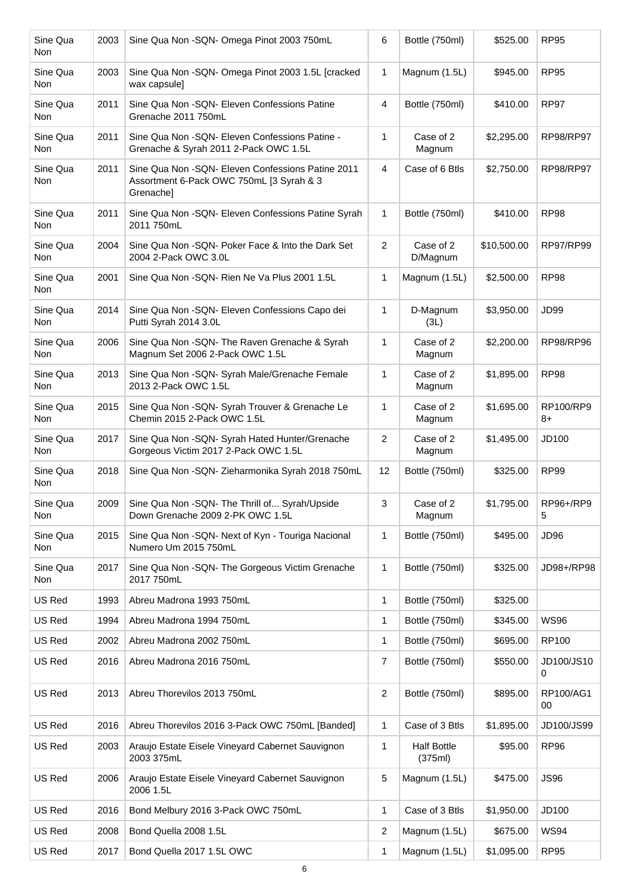| Sine Qua<br><b>Non</b> | 2003 | Sine Qua Non - SQN- Omega Pinot 2003 750mL                                                                   | 6              | Bottle (750ml)                | \$525.00    | <b>RP95</b>      |
|------------------------|------|--------------------------------------------------------------------------------------------------------------|----------------|-------------------------------|-------------|------------------|
| Sine Qua<br>Non        | 2003 | Sine Qua Non -SQN- Omega Pinot 2003 1.5L [cracked<br>wax capsule]                                            | $\mathbf{1}$   | Magnum (1.5L)                 | \$945.00    | <b>RP95</b>      |
| Sine Qua<br>Non        | 2011 | Sine Qua Non - SQN- Eleven Confessions Patine<br>Grenache 2011 750mL                                         | 4              | Bottle (750ml)                | \$410.00    | <b>RP97</b>      |
| Sine Qua<br>Non        | 2011 | Sine Qua Non - SQN- Eleven Confessions Patine -<br>Grenache & Syrah 2011 2-Pack OWC 1.5L                     | 1              | Case of 2<br>Magnum           | \$2,295.00  | <b>RP98/RP97</b> |
| Sine Qua<br>Non        | 2011 | Sine Qua Non - SQN - Eleven Confessions Patine 2011<br>Assortment 6-Pack OWC 750mL [3 Syrah & 3<br>Grenache] | $\overline{4}$ | Case of 6 Btls                | \$2,750.00  | <b>RP98/RP97</b> |
| Sine Qua<br>Non        | 2011 | Sine Qua Non -SQN- Eleven Confessions Patine Syrah<br>2011 750mL                                             | $\mathbf{1}$   | Bottle (750ml)                | \$410.00    | <b>RP98</b>      |
| Sine Qua<br>Non        | 2004 | Sine Qua Non -SQN- Poker Face & Into the Dark Set<br>2004 2-Pack OWC 3.0L                                    | 2              | Case of 2<br>D/Magnum         | \$10,500.00 | RP97/RP99        |
| Sine Qua<br>Non        | 2001 | Sine Qua Non - SQN- Rien Ne Va Plus 2001 1.5L                                                                | 1              | Magnum (1.5L)                 | \$2,500.00  | <b>RP98</b>      |
| Sine Qua<br>Non        | 2014 | Sine Qua Non -SQN- Eleven Confessions Capo dei<br>Putti Syrah 2014 3.0L                                      | 1              | D-Magnum<br>(3L)              | \$3,950.00  | JD99             |
| Sine Qua<br>Non        | 2006 | Sine Qua Non -SQN- The Raven Grenache & Syrah<br>Magnum Set 2006 2-Pack OWC 1.5L                             | 1              | Case of 2<br>Magnum           | \$2,200.00  | <b>RP98/RP96</b> |
| Sine Qua<br>Non        | 2013 | Sine Qua Non -SQN- Syrah Male/Grenache Female<br>2013 2-Pack OWC 1.5L                                        | 1              | Case of 2<br>Magnum           | \$1,895.00  | <b>RP98</b>      |
| Sine Qua<br>Non        | 2015 | Sine Qua Non -SQN- Syrah Trouver & Grenache Le<br>Chemin 2015 2-Pack OWC 1.5L                                | 1              | Case of 2<br>Magnum           | \$1,695.00  | RP100/RP9<br>8+  |
| Sine Qua<br>Non        | 2017 | Sine Qua Non -SQN- Syrah Hated Hunter/Grenache<br>Gorgeous Victim 2017 2-Pack OWC 1.5L                       | 2              | Case of 2<br>Magnum           | \$1,495.00  | JD100            |
| Sine Qua<br>Non        | 2018 | Sine Qua Non -SQN- Zieharmonika Syrah 2018 750mL                                                             | 12             | Bottle (750ml)                | \$325.00    | <b>RP99</b>      |
| Sine Qua<br>Non        | 2009 | Sine Qua Non -SQN- The Thrill of Syrah/Upside<br>Down Grenache 2009 2-PK OWC 1.5L                            | $\mathbf{3}$   | Case of 2<br>Magnum           | \$1,795.00  | RP96+/RP9<br>5   |
| Sine Qua<br>Non        | 2015 | Sine Qua Non -SQN- Next of Kyn - Touriga Nacional<br>Numero Um 2015 750mL                                    | 1              | Bottle (750ml)                | \$495.00    | JD96             |
| Sine Qua<br>Non        | 2017 | Sine Qua Non -SQN- The Gorgeous Victim Grenache<br>2017 750mL                                                | 1              | Bottle (750ml)                | \$325.00    | JD98+/RP98       |
| US Red                 | 1993 | Abreu Madrona 1993 750mL                                                                                     | 1              | Bottle (750ml)                | \$325.00    |                  |
| US Red                 | 1994 | Abreu Madrona 1994 750mL                                                                                     | 1              | Bottle (750ml)                | \$345.00    | <b>WS96</b>      |
| US Red                 | 2002 | Abreu Madrona 2002 750mL                                                                                     | 1              | Bottle (750ml)                | \$695.00    | RP100            |
| US Red                 | 2016 | Abreu Madrona 2016 750mL                                                                                     | 7              | Bottle (750ml)                | \$550.00    | JD100/JS10<br>0  |
| US Red                 | 2013 | Abreu Thorevilos 2013 750mL                                                                                  | $\overline{c}$ | Bottle (750ml)                | \$895.00    | RP100/AG1<br>00  |
| US Red                 | 2016 | Abreu Thorevilos 2016 3-Pack OWC 750mL [Banded]                                                              | 1              | Case of 3 Btls                | \$1,895.00  | JD100/JS99       |
| US Red                 | 2003 | Araujo Estate Eisele Vineyard Cabernet Sauvignon<br>2003 375mL                                               | 1              | <b>Half Bottle</b><br>(375ml) | \$95.00     | <b>RP96</b>      |
| US Red                 | 2006 | Araujo Estate Eisele Vineyard Cabernet Sauvignon<br>2006 1.5L                                                | 5              | Magnum (1.5L)                 | \$475.00    | <b>JS96</b>      |
| US Red                 | 2016 | Bond Melbury 2016 3-Pack OWC 750mL                                                                           | 1              | Case of 3 Btls                | \$1,950.00  | JD100            |
| US Red                 | 2008 | Bond Quella 2008 1.5L                                                                                        | $\overline{2}$ | Magnum (1.5L)                 | \$675.00    | <b>WS94</b>      |
| US Red                 | 2017 | Bond Quella 2017 1.5L OWC                                                                                    | 1              | Magnum (1.5L)                 | \$1,095.00  | <b>RP95</b>      |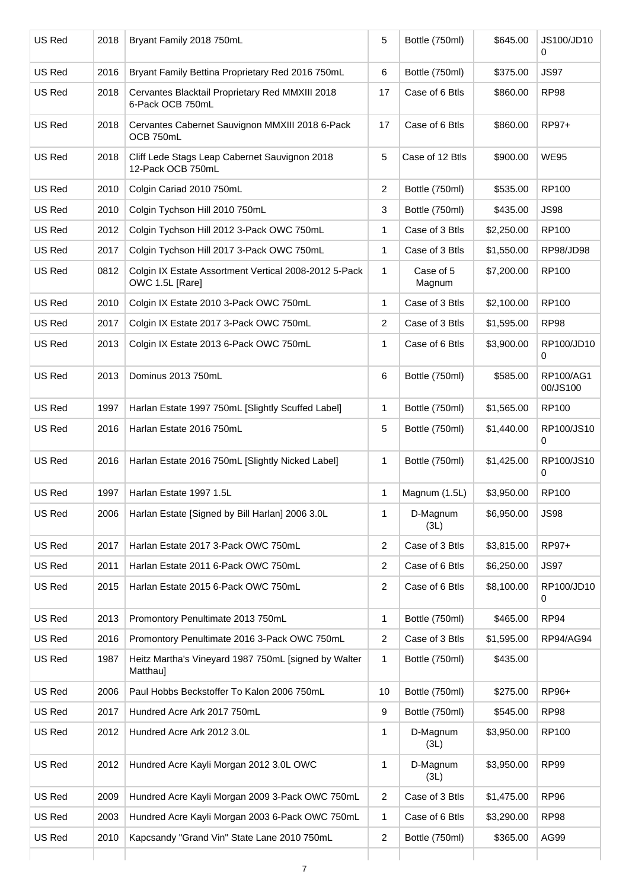| US Red | 2018 | Bryant Family 2018 750mL                                                 | 5                       | Bottle (750ml)      | \$645.00   | JS100/JD10<br>0       |
|--------|------|--------------------------------------------------------------------------|-------------------------|---------------------|------------|-----------------------|
| US Red | 2016 | Bryant Family Bettina Proprietary Red 2016 750mL                         | 6                       | Bottle (750ml)      | \$375.00   | <b>JS97</b>           |
| US Red | 2018 | Cervantes Blacktail Proprietary Red MMXIII 2018<br>6-Pack OCB 750mL      | 17                      | Case of 6 Btls      | \$860.00   | <b>RP98</b>           |
| US Red | 2018 | Cervantes Cabernet Sauvignon MMXIII 2018 6-Pack<br>OCB 750mL             | 17                      | Case of 6 Btls      | \$860.00   | RP97+                 |
| US Red | 2018 | Cliff Lede Stags Leap Cabernet Sauvignon 2018<br>12-Pack OCB 750mL       | 5                       | Case of 12 Btls     | \$900.00   | <b>WE95</b>           |
| US Red | 2010 | Colgin Cariad 2010 750mL                                                 | $\overline{\mathbf{c}}$ | Bottle (750ml)      | \$535.00   | <b>RP100</b>          |
| US Red | 2010 | Colgin Tychson Hill 2010 750mL                                           | 3                       | Bottle (750ml)      | \$435.00   | <b>JS98</b>           |
| US Red | 2012 | Colgin Tychson Hill 2012 3-Pack OWC 750mL                                | 1                       | Case of 3 Btls      | \$2,250.00 | <b>RP100</b>          |
| US Red | 2017 | Colgin Tychson Hill 2017 3-Pack OWC 750mL                                | 1                       | Case of 3 Btls      | \$1,550.00 | RP98/JD98             |
| US Red | 0812 | Colgin IX Estate Assortment Vertical 2008-2012 5-Pack<br>OWC 1.5L [Rare] | 1                       | Case of 5<br>Magnum | \$7,200.00 | <b>RP100</b>          |
| US Red | 2010 | Colgin IX Estate 2010 3-Pack OWC 750mL                                   | 1                       | Case of 3 Btls      | \$2,100.00 | <b>RP100</b>          |
| US Red | 2017 | Colgin IX Estate 2017 3-Pack OWC 750mL                                   | $\overline{2}$          | Case of 3 Btls      | \$1,595.00 | <b>RP98</b>           |
| US Red | 2013 | Colgin IX Estate 2013 6-Pack OWC 750mL                                   | 1                       | Case of 6 Btls      | \$3,900.00 | RP100/JD10<br>0       |
| US Red | 2013 | Dominus 2013 750mL                                                       | 6                       | Bottle (750ml)      | \$585.00   | RP100/AG1<br>00/JS100 |
| US Red | 1997 | Harlan Estate 1997 750mL [Slightly Scuffed Label]                        | 1                       | Bottle (750ml)      | \$1,565.00 | <b>RP100</b>          |
| US Red | 2016 | Harlan Estate 2016 750mL                                                 | 5                       | Bottle (750ml)      | \$1,440.00 | RP100/JS10<br>0       |
| US Red | 2016 | Harlan Estate 2016 750mL [Slightly Nicked Label]                         | 1                       | Bottle (750ml)      | \$1,425.00 | RP100/JS10<br>0       |
| US Red | 1997 | Harlan Estate 1997 1.5L                                                  | 1                       | Magnum (1.5L)       | \$3,950.00 | <b>RP100</b>          |
| US Red | 2006 | Harlan Estate [Signed by Bill Harlan] 2006 3.0L                          | 1                       | D-Magnum<br>(3L)    | \$6,950.00 | <b>JS98</b>           |
| US Red | 2017 | Harlan Estate 2017 3-Pack OWC 750mL                                      | $\overline{c}$          | Case of 3 Btls      | \$3,815.00 | RP97+                 |
| US Red | 2011 | Harlan Estate 2011 6-Pack OWC 750mL                                      | 2                       | Case of 6 Btls      | \$6,250.00 | <b>JS97</b>           |
| US Red | 2015 | Harlan Estate 2015 6-Pack OWC 750mL                                      | 2                       | Case of 6 Btls      | \$8,100.00 | RP100/JD10<br>0       |
| US Red | 2013 | Promontory Penultimate 2013 750mL                                        | 1                       | Bottle (750ml)      | \$465.00   | <b>RP94</b>           |
| US Red | 2016 | Promontory Penultimate 2016 3-Pack OWC 750mL                             | 2                       | Case of 3 Btls      | \$1,595.00 | RP94/AG94             |
| US Red | 1987 | Heitz Martha's Vineyard 1987 750mL [signed by Walter<br>Matthau]         | 1                       | Bottle (750ml)      | \$435.00   |                       |
| US Red | 2006 | Paul Hobbs Beckstoffer To Kalon 2006 750mL                               | 10                      | Bottle (750ml)      | \$275.00   | RP96+                 |
| US Red | 2017 | Hundred Acre Ark 2017 750mL                                              | 9                       | Bottle (750ml)      | \$545.00   | <b>RP98</b>           |
| US Red | 2012 | Hundred Acre Ark 2012 3.0L                                               | 1                       | D-Magnum<br>(3L)    | \$3,950.00 | <b>RP100</b>          |
| US Red | 2012 | Hundred Acre Kayli Morgan 2012 3.0L OWC                                  | 1                       | D-Magnum<br>(3L)    | \$3,950.00 | <b>RP99</b>           |
| US Red | 2009 | Hundred Acre Kayli Morgan 2009 3-Pack OWC 750mL                          | 2                       | Case of 3 Btls      | \$1,475.00 | <b>RP96</b>           |
| US Red | 2003 | Hundred Acre Kayli Morgan 2003 6-Pack OWC 750mL                          | 1                       | Case of 6 Btls      | \$3,290.00 | <b>RP98</b>           |
| US Red | 2010 | Kapcsandy "Grand Vin" State Lane 2010 750mL                              | $\overline{c}$          | Bottle (750ml)      | \$365.00   | AG99                  |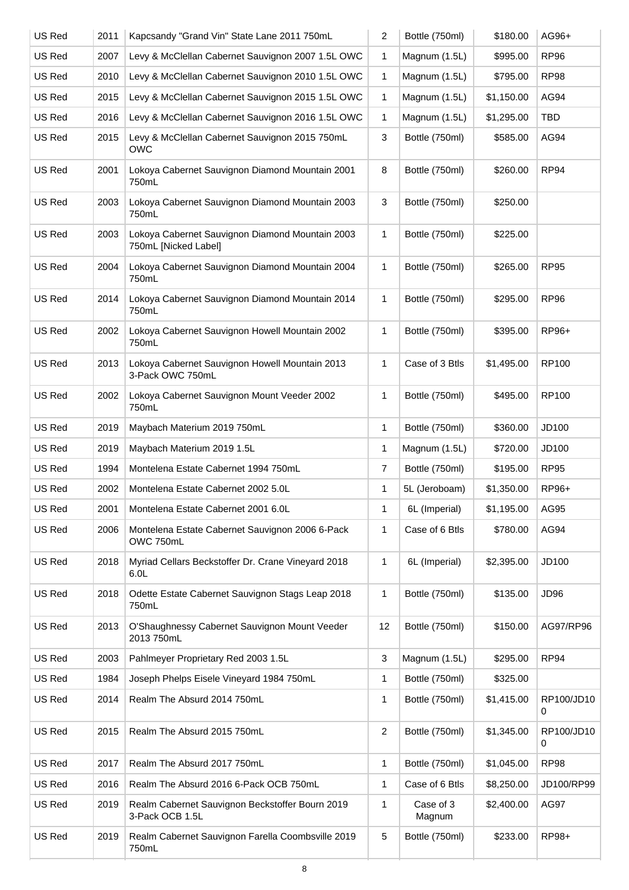| US Red | 2011 | Kapcsandy "Grand Vin" State Lane 2011 750mL                             | 2            | Bottle (750ml)      | \$180.00   | AG96+            |
|--------|------|-------------------------------------------------------------------------|--------------|---------------------|------------|------------------|
| US Red | 2007 | Levy & McClellan Cabernet Sauvignon 2007 1.5L OWC                       | 1            | Magnum (1.5L)       | \$995.00   | <b>RP96</b>      |
| US Red | 2010 | Levy & McClellan Cabernet Sauvignon 2010 1.5L OWC                       | 1            | Magnum (1.5L)       | \$795.00   | <b>RP98</b>      |
| US Red | 2015 | Levy & McClellan Cabernet Sauvignon 2015 1.5L OWC                       | 1            | Magnum (1.5L)       | \$1,150.00 | AG94             |
| US Red | 2016 | Levy & McClellan Cabernet Sauvignon 2016 1.5L OWC                       | 1            | Magnum (1.5L)       | \$1,295.00 | <b>TBD</b>       |
| US Red | 2015 | Levy & McClellan Cabernet Sauvignon 2015 750mL<br><b>OWC</b>            | 3            | Bottle (750ml)      | \$585.00   | AG94             |
| US Red | 2001 | Lokoya Cabernet Sauvignon Diamond Mountain 2001<br>750mL                | 8            | Bottle (750ml)      | \$260.00   | RP94             |
| US Red | 2003 | Lokoya Cabernet Sauvignon Diamond Mountain 2003<br>750mL                | 3            | Bottle (750ml)      | \$250.00   |                  |
| US Red | 2003 | Lokoya Cabernet Sauvignon Diamond Mountain 2003<br>750mL [Nicked Label] | 1            | Bottle (750ml)      | \$225.00   |                  |
| US Red | 2004 | Lokoya Cabernet Sauvignon Diamond Mountain 2004<br>750mL                | 1            | Bottle (750ml)      | \$265.00   | <b>RP95</b>      |
| US Red | 2014 | Lokoya Cabernet Sauvignon Diamond Mountain 2014<br>750mL                | $\mathbf{1}$ | Bottle (750ml)      | \$295.00   | <b>RP96</b>      |
| US Red | 2002 | Lokoya Cabernet Sauvignon Howell Mountain 2002<br>750mL                 | 1            | Bottle (750ml)      | \$395.00   | RP96+            |
| US Red | 2013 | Lokoya Cabernet Sauvignon Howell Mountain 2013<br>3-Pack OWC 750mL      | 1            | Case of 3 Btls      | \$1,495.00 | <b>RP100</b>     |
| US Red | 2002 | Lokoya Cabernet Sauvignon Mount Veeder 2002<br>750mL                    | $\mathbf{1}$ | Bottle (750ml)      | \$495.00   | <b>RP100</b>     |
| US Red | 2019 | Maybach Materium 2019 750mL                                             | 1            | Bottle (750ml)      | \$360.00   | JD100            |
| US Red | 2019 | Maybach Materium 2019 1.5L                                              | 1            | Magnum (1.5L)       | \$720.00   | JD100            |
| US Red | 1994 | Montelena Estate Cabernet 1994 750mL                                    | 7            | Bottle (750ml)      | \$195.00   | <b>RP95</b>      |
| US Red | 2002 | Montelena Estate Cabernet 2002 5.0L                                     | 1            | 5L (Jeroboam)       | \$1,350.00 | RP96+            |
| US Red | 2001 | Montelena Estate Cabernet 2001 6.0L                                     | 1            | 6L (Imperial)       | \$1,195.00 | AG95             |
| US Red | 2006 | Montelena Estate Cabernet Sauvignon 2006 6-Pack<br>OWC 750mL            | 1            | Case of 6 Btls      | \$780.00   | AG94             |
| US Red | 2018 | Myriad Cellars Beckstoffer Dr. Crane Vineyard 2018<br>6.0L              | 1            | 6L (Imperial)       | \$2,395.00 | JD100            |
| US Red | 2018 | Odette Estate Cabernet Sauvignon Stags Leap 2018<br>750mL               | 1            | Bottle (750ml)      | \$135.00   | JD96             |
| US Red | 2013 | O'Shaughnessy Cabernet Sauvignon Mount Veeder<br>2013 750mL             | 12           | Bottle (750ml)      | \$150.00   | AG97/RP96        |
| US Red | 2003 | Pahlmeyer Proprietary Red 2003 1.5L                                     | 3            | Magnum (1.5L)       | \$295.00   | RP <sub>94</sub> |
| US Red | 1984 | Joseph Phelps Eisele Vineyard 1984 750mL                                | 1            | Bottle (750ml)      | \$325.00   |                  |
| US Red | 2014 | Realm The Absurd 2014 750mL                                             | 1            | Bottle (750ml)      | \$1,415.00 | RP100/JD10<br>0  |
| US Red | 2015 | Realm The Absurd 2015 750mL                                             | 2            | Bottle (750ml)      | \$1,345.00 | RP100/JD10<br>0  |
| US Red | 2017 | Realm The Absurd 2017 750mL                                             | 1            | Bottle (750ml)      | \$1,045.00 | <b>RP98</b>      |
| US Red | 2016 | Realm The Absurd 2016 6-Pack OCB 750mL                                  | 1            | Case of 6 Btls      | \$8,250.00 | JD100/RP99       |
| US Red | 2019 | Realm Cabernet Sauvignon Beckstoffer Bourn 2019<br>3-Pack OCB 1.5L      | 1            | Case of 3<br>Magnum | \$2,400.00 | <b>AG97</b>      |
| US Red | 2019 | Realm Cabernet Sauvignon Farella Coombsville 2019<br>750mL              | 5            | Bottle (750ml)      | \$233.00   | RP98+            |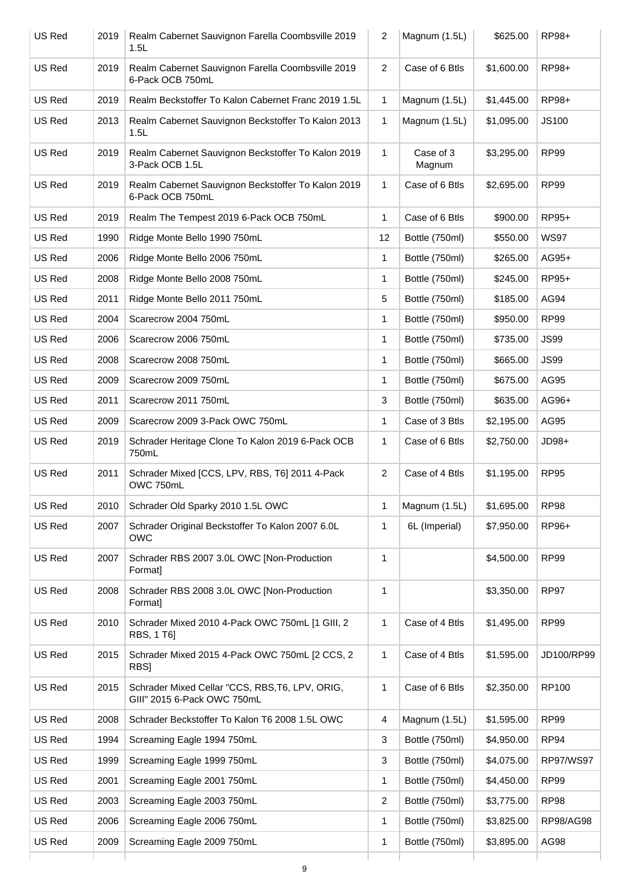| US Red | 2019 | Realm Cabernet Sauvignon Farella Coombsville 2019<br>1.5L                      | 2              | Magnum (1.5L)       | \$625.00   | RP98+            |
|--------|------|--------------------------------------------------------------------------------|----------------|---------------------|------------|------------------|
| US Red | 2019 | Realm Cabernet Sauvignon Farella Coombsville 2019<br>6-Pack OCB 750mL          | $\overline{2}$ | Case of 6 Btls      | \$1,600.00 | RP98+            |
| US Red | 2019 | Realm Beckstoffer To Kalon Cabernet Franc 2019 1.5L                            | 1              | Magnum (1.5L)       | \$1,445.00 | RP98+            |
| US Red | 2013 | Realm Cabernet Sauvignon Beckstoffer To Kalon 2013<br>1.5L                     | 1              | Magnum (1.5L)       | \$1,095.00 | <b>JS100</b>     |
| US Red | 2019 | Realm Cabernet Sauvignon Beckstoffer To Kalon 2019<br>3-Pack OCB 1.5L          | 1              | Case of 3<br>Magnum | \$3,295.00 | <b>RP99</b>      |
| US Red | 2019 | Realm Cabernet Sauvignon Beckstoffer To Kalon 2019<br>6-Pack OCB 750mL         | $\mathbf{1}$   | Case of 6 Btls      | \$2,695.00 | <b>RP99</b>      |
| US Red | 2019 | Realm The Tempest 2019 6-Pack OCB 750mL                                        | 1              | Case of 6 Btls      | \$900.00   | RP95+            |
| US Red | 1990 | Ridge Monte Bello 1990 750mL                                                   | 12             | Bottle (750ml)      | \$550.00   | <b>WS97</b>      |
| US Red | 2006 | Ridge Monte Bello 2006 750mL                                                   | 1              | Bottle (750ml)      | \$265.00   | AG95+            |
| US Red | 2008 | Ridge Monte Bello 2008 750mL                                                   | 1              | Bottle (750ml)      | \$245.00   | RP95+            |
| US Red | 2011 | Ridge Monte Bello 2011 750mL                                                   | 5              | Bottle (750ml)      | \$185.00   | AG94             |
| US Red | 2004 | Scarecrow 2004 750mL                                                           | 1              | Bottle (750ml)      | \$950.00   | <b>RP99</b>      |
| US Red | 2006 | Scarecrow 2006 750mL                                                           | 1              | Bottle (750ml)      | \$735.00   | <b>JS99</b>      |
| US Red | 2008 | Scarecrow 2008 750mL                                                           | 1              | Bottle (750ml)      | \$665.00   | <b>JS99</b>      |
| US Red | 2009 | Scarecrow 2009 750mL                                                           | 1              | Bottle (750ml)      | \$675.00   | AG95             |
| US Red | 2011 | Scarecrow 2011 750mL                                                           | 3              | Bottle (750ml)      | \$635.00   | AG96+            |
| US Red | 2009 | Scarecrow 2009 3-Pack OWC 750mL                                                | 1              | Case of 3 Btls      | \$2,195.00 | AG95             |
| US Red | 2019 | Schrader Heritage Clone To Kalon 2019 6-Pack OCB<br>750mL                      | 1              | Case of 6 Btls      | \$2,750.00 | JD98+            |
| US Red | 2011 | Schrader Mixed [CCS, LPV, RBS, T6] 2011 4-Pack<br>OWC 750mL                    | $\overline{2}$ | Case of 4 Btls      | \$1,195.00 | <b>RP95</b>      |
| US Red | 2010 | Schrader Old Sparky 2010 1.5L OWC                                              | 1              | Magnum (1.5L)       | \$1,695.00 | <b>RP98</b>      |
| US Red | 2007 | Schrader Original Beckstoffer To Kalon 2007 6.0L<br><b>OWC</b>                 | 1              | 6L (Imperial)       | \$7,950.00 | RP96+            |
| US Red | 2007 | Schrader RBS 2007 3.0L OWC [Non-Production<br>Format]                          | $\mathbf{1}$   |                     | \$4,500.00 | <b>RP99</b>      |
| US Red | 2008 | Schrader RBS 2008 3.0L OWC [Non-Production<br>Format]                          | 1              |                     | \$3,350.00 | <b>RP97</b>      |
| US Red | 2010 | Schrader Mixed 2010 4-Pack OWC 750mL [1 GIII, 2<br>RBS, 1 T6]                  | 1              | Case of 4 Btls      | \$1,495.00 | RP99             |
| US Red | 2015 | Schrader Mixed 2015 4-Pack OWC 750mL [2 CCS, 2<br>RBS]                         | 1              | Case of 4 Btls      | \$1,595.00 | JD100/RP99       |
| US Red | 2015 | Schrader Mixed Cellar "CCS, RBS, T6, LPV, ORIG,<br>GIII" 2015 6-Pack OWC 750mL | 1              | Case of 6 Btls      | \$2,350.00 | RP100            |
| US Red | 2008 | Schrader Beckstoffer To Kalon T6 2008 1.5L OWC                                 | 4              | Magnum (1.5L)       | \$1,595.00 | <b>RP99</b>      |
| US Red | 1994 | Screaming Eagle 1994 750mL                                                     | 3              | Bottle (750ml)      | \$4,950.00 | RP <sub>94</sub> |
| US Red | 1999 | Screaming Eagle 1999 750mL                                                     | 3              | Bottle (750ml)      | \$4,075.00 | RP97/WS97        |
| US Red | 2001 | Screaming Eagle 2001 750mL                                                     | 1              | Bottle (750ml)      | \$4,450.00 | <b>RP99</b>      |
| US Red | 2003 | Screaming Eagle 2003 750mL                                                     | $\overline{c}$ | Bottle (750ml)      | \$3,775.00 | <b>RP98</b>      |
| US Red | 2006 | Screaming Eagle 2006 750mL                                                     | 1              | Bottle (750ml)      | \$3,825.00 | RP98/AG98        |
| US Red | 2009 | Screaming Eagle 2009 750mL                                                     | 1              | Bottle (750ml)      | \$3,895.00 | AG98             |